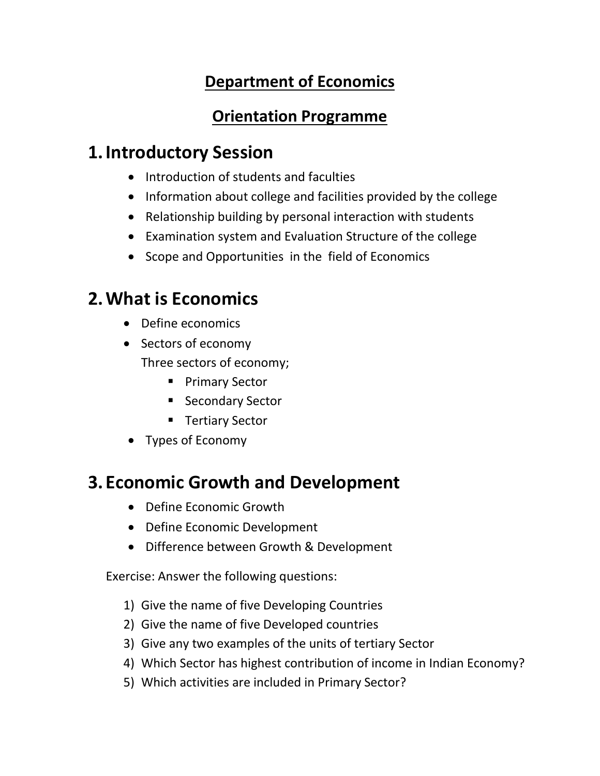## **Department of Economics**

#### **Orientation Programme**

## **1.Introductory Session**

- Introduction of students and faculties
- Information about college and facilities provided by the college
- Relationship building by personal interaction with students
- Examination system and Evaluation Structure of the college
- Scope and Opportunities in the field of Economics

# **2.What is Economics**

- Define economics
- Sectors of economy Three sectors of economy;
	- Primary Sector
	- Secondary Sector
	- Tertiary Sector
- Types of Economy

# **3. Economic Growth and Development**

- Define Economic Growth
- Define Economic Development
- Difference between Growth & Development

Exercise: Answer the following questions:

- 1) Give the name of five Developing Countries
- 2) Give the name of five Developed countries
- 3) Give any two examples of the units of tertiary Sector
- 4) Which Sector has highest contribution of income in Indian Economy?
- 5) Which activities are included in Primary Sector?